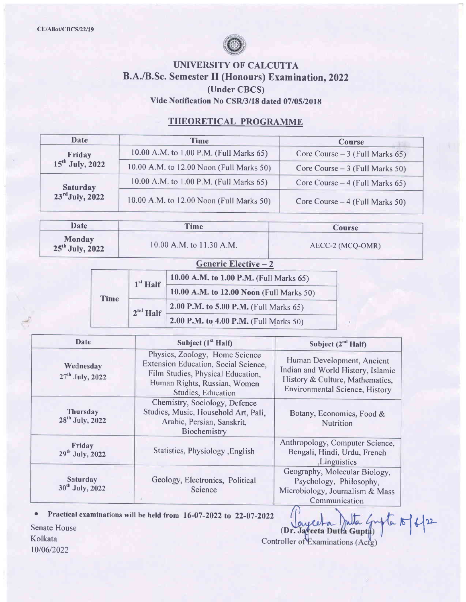

## UNIVERSITY OF CALCUTTA B.A./B.Sc. Semester II (Honours) Examination, 2022 (Under CBCS) Vide Notification No CSR/3/18 dated 07/05/2018

### THEORETICAL PROGRAMME

| Date                        | <b>Time</b>                              | <b>Course</b>                    |
|-----------------------------|------------------------------------------|----------------------------------|
| Friday                      | 10.00 A.M. to 1.00 P.M. (Full Marks 65)  | Core Course $-3$ (Full Marks 65) |
| $15^{th}$ July, 2022        | 10.00 A.M. to 12.00 Noon (Full Marks 50) | Core Course $-3$ (Full Marks 50) |
| <b>Saturday</b>             | 10.00 A.M. to 1.00 P.M. (Full Marks 65)  | Core Course $-4$ (Full Marks 65) |
| $23^{\text{rd}}$ July, 2022 | 10.00 A.M. to 12.00 Noon (Full Marks 50) | Core Course $-4$ (Full Marks 50) |

| Date                               | <b>Time</b>              | <b>Course</b>    |  |
|------------------------------------|--------------------------|------------------|--|
| <b>Monday</b><br>$25th$ July, 2022 | 10.00 A.M. to 11.30 A.M. | AECC-2 (MCQ-OMR) |  |

|  |  |  | <b>Generic Elective - 2</b> |  |
|--|--|--|-----------------------------|--|
|--|--|--|-----------------------------|--|

| <b>Time</b> | $1st$ Half | 10.00 A.M. to 1.00 P.M. (Full Marks 65)  |
|-------------|------------|------------------------------------------|
|             |            | 10.00 A.M. to 12.00 Noon (Full Marks 50) |
|             | $2nd$ Half | 2.00 P.M. to 5.00 P.M. (Full Marks 65)   |
|             |            | 2.00 P.M. to 4.00 P.M. (Full Marks 50)   |

| Date                                           | Subject (1 <sup>st</sup> Half)                                                                                                                                    |                                                                                                                                             |
|------------------------------------------------|-------------------------------------------------------------------------------------------------------------------------------------------------------------------|---------------------------------------------------------------------------------------------------------------------------------------------|
| Wednesday<br>$27th$ July, 2022                 | Physics, Zoology, Home Science<br>Extension Education, Social Science,<br>Film Studies, Physical Education,<br>Human Rights, Russian, Women<br>Studies, Education | Human Development, Ancient<br>Indian and World History, Islamic<br>History & Culture, Mathematics,<br><b>Environmental Science, History</b> |
| <b>Thursday</b><br>28 <sup>th</sup> July, 2022 | Chemistry, Sociology, Defence<br>Studies, Music, Household Art, Pali.<br>Arabic, Persian, Sanskrit,<br>Biochemistry                                               | Botany, Economics, Food &<br>Nutrition                                                                                                      |
| Friday<br>29 <sup>th</sup> July, 2022          | Statistics, Physiology , English                                                                                                                                  | Anthropology, Computer Science,<br>Bengali, Hindi, Urdu, French<br>, Linguistics                                                            |
| Saturday<br>30 <sup>th</sup> July, 2022        | Geology, Electronics, Political<br>Science                                                                                                                        | Geography, Molecular Biology,<br>Psychology, Philosophy,<br>Microbiology, Journalism & Mass<br>Communication                                |

Practical examinations will be held from 16-07-2022 to 22-07-2022

Senate House Kolkata 10/06/2022

(D Controll Practical examinations will be held from 16-07-2022 to 22-07-2022  $\int_{\text{e}}^1 \int_{\text{e}} \int_{\text{f}} \int_{\text{f}}$  /  $\int_{\text{f}}$  /  $\int_{\text{f}}$  /  $\int_{\text{f}}$  /  $\int$  /  $\int$  /  $\int$  /  $\int$  /  $\int$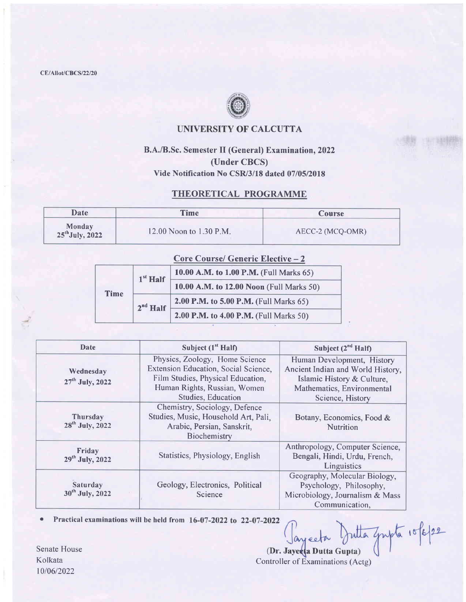CE/Allot/CBCS/22/20



#### UNIVERSITY OF CALCUTTA

## B.A./B.Sc. Semester II (General) Examination, 2022 (Under CBCS) Vide Notification No CSR/3/18 dated 07/05/2018

### THEORETICAL PROGRAMME

| Date:                       | Time                    | Course           |  |
|-----------------------------|-------------------------|------------------|--|
| Monday<br>$25th$ July, 2022 | 12.00 Noon to 1.30 P.M. | AECC-2 (MCQ-OMR) |  |

|      |            | <b>Core Course/ Generic Elective - 2</b> |
|------|------------|------------------------------------------|
| Time | $1st$ Half | 10.00 A.M. to 1.00 P.M. (Full Marks 65)  |
|      |            | 10.00 A.M. to 12.00 Noon (Full Marks 50) |
|      | $2nd$ Half | 2.00 P.M. to 5.00 P.M. (Full Marks 65)   |
|      |            | 2.00 P.M. to 4.00 P.M. (Full Marks 50)   |

| Date                                     | Subject $(1st Half)$                                                                                                                                              | Subject $(2^{nd}$ Half)                                                                                                                         |  |
|------------------------------------------|-------------------------------------------------------------------------------------------------------------------------------------------------------------------|-------------------------------------------------------------------------------------------------------------------------------------------------|--|
| Wednesday<br>27 <sup>th</sup> July, 2022 | Physics, Zoology, Home Science<br>Extension Education, Social Science,<br>Film Studies, Physical Education,<br>Human Rights, Russian, Women<br>Studies, Education | Human Development, History<br>Ancient Indian and World History,<br>Islamic History & Culture,<br>Mathematics, Environmental<br>Science, History |  |
| Thursday<br>28 <sup>th</sup> July, 2022  | Chemistry, Sociology, Defence<br>Studies, Music, Household Art, Pali,<br>Arabic, Persian, Sanskrit,<br>Biochemistry                                               | Botany, Economics, Food &<br><b>Nutrition</b>                                                                                                   |  |
| Friday<br>29 <sup>th</sup> July, 2022    | Statistics, Physiology, English                                                                                                                                   | Anthropology, Computer Science,<br>Bengali, Hindi, Urdu, French,<br>Linguistics                                                                 |  |
| Saturday<br>30 <sup>th</sup> July, 2022  | Geology, Electronics, Political<br>Science                                                                                                                        | Geography, Molecular Biology,<br>Psychology, Philosophy,<br>Microbiology, Journalism & Mass<br>Communication,                                   |  |

• Practical examinations will be held from 16-07-2022 to 22-07-2022

Jutta Empla 10/6/22 Jayceta (Dr. Jayeeta Dutta Gupta)

Senate House Kolkata 10/06/2022

Controller of Examinations (Actg)